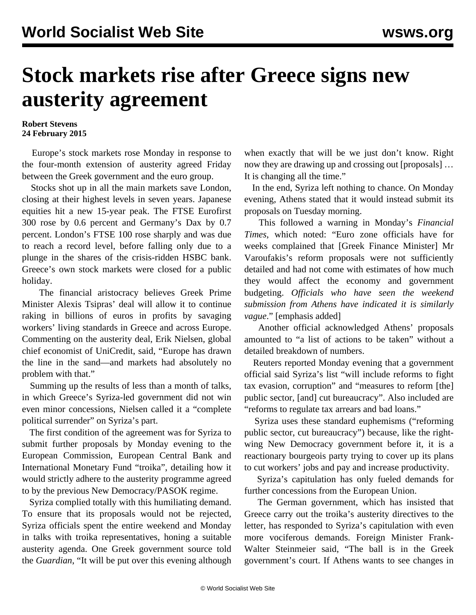## **Stock markets rise after Greece signs new austerity agreement**

## **Robert Stevens 24 February 2015**

 Europe's stock markets rose Monday in response to the four-month extension of austerity agreed Friday between the Greek government and the euro group.

 Stocks shot up in all the main markets save London, closing at their highest levels in seven years. Japanese equities hit a new 15-year peak. The FTSE Eurofirst 300 rose by 0.6 percent and Germany's Dax by 0.7 percent. London's FTSE 100 rose sharply and was due to reach a record level, before falling only due to a plunge in the shares of the crisis-ridden HSBC bank. Greece's own stock markets were closed for a public holiday.

 The financial aristocracy believes Greek Prime Minister Alexis Tsipras' deal will allow it to continue raking in billions of euros in profits by savaging workers' living standards in Greece and across Europe. Commenting on the austerity deal, Erik Nielsen, global chief economist of UniCredit, said, "Europe has drawn the line in the sand—and markets had absolutely no problem with that."

 Summing up the results of less than a month of talks, in which Greece's Syriza-led government did not win even minor concessions, Nielsen called it a "complete political surrender" on Syriza's part.

 The first condition of the agreement was for Syriza to submit further proposals by Monday evening to the European Commission, European Central Bank and International Monetary Fund "troika", detailing how it would strictly adhere to the austerity programme agreed to by the previous New Democracy/PASOK regime.

 Syriza complied totally with this humiliating demand. To ensure that its proposals would not be rejected, Syriza officials spent the entire weekend and Monday in talks with troika representatives, honing a suitable austerity agenda. One Greek government source told the *Guardian*, "It will be put over this evening although when exactly that will be we just don't know. Right now they are drawing up and crossing out [proposals] … It is changing all the time."

 In the end, Syriza left nothing to chance. On Monday evening, Athens stated that it would instead submit its proposals on Tuesday morning.

 This followed a warning in Monday's *Financial Times*, which noted: "Euro zone officials have for weeks complained that [Greek Finance Minister] Mr Varoufakis's reform proposals were not sufficiently detailed and had not come with estimates of how much they would affect the economy and government budgeting. *Officials who have seen the weekend submission from Athens have indicated it is similarly vague*." [emphasis added]

 Another official acknowledged Athens' proposals amounted to "a list of actions to be taken" without a detailed breakdown of numbers.

 Reuters reported Monday evening that a government official said Syriza's list "will include reforms to fight tax evasion, corruption" and "measures to reform [the] public sector, [and] cut bureaucracy". Also included are "reforms to regulate tax arrears and bad loans."

 Syriza uses these standard euphemisms ("reforming public sector, cut bureaucracy") because, like the rightwing New Democracy government before it, it is a reactionary bourgeois party trying to cover up its plans to cut workers' jobs and pay and increase productivity.

 Syriza's capitulation has only fueled demands for further concessions from the European Union.

 The German government, which has insisted that Greece carry out the troika's austerity directives to the letter, has responded to Syriza's capitulation with even more vociferous demands. Foreign Minister Frank-Walter Steinmeier said, "The ball is in the Greek government's court. If Athens wants to see changes in